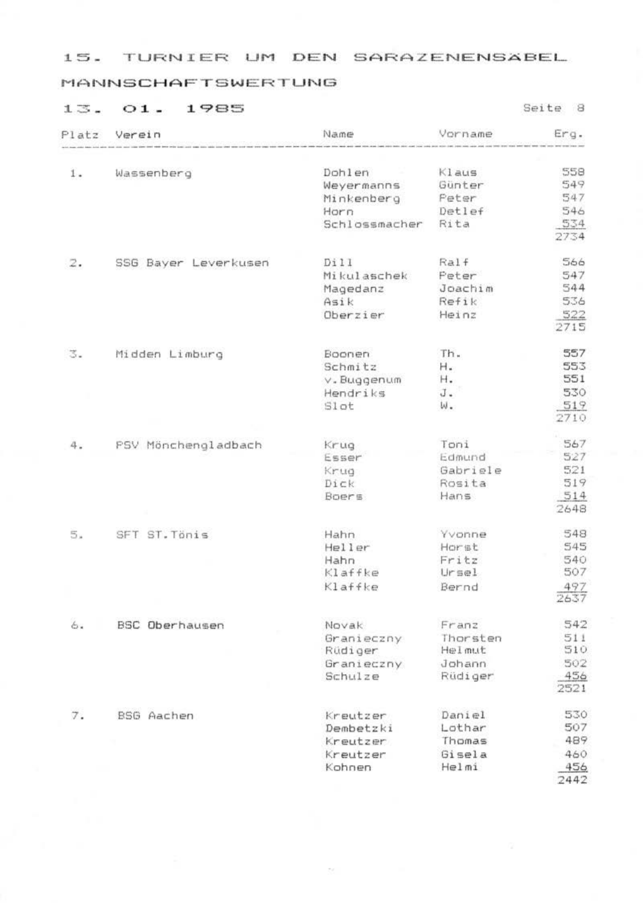#### **MANNSCHAFTSWERTUNG**

# 13. 01. 1985

| Platz               | Verein               | Name          | Vorname  | Erg.        |
|---------------------|----------------------|---------------|----------|-------------|
|                     |                      |               |          |             |
| 1.                  | Wassenberg           | Dohlen        | Klaus    | 558         |
|                     |                      | Weyermanns    | Günter   | 549         |
|                     |                      | Minkenberg    | Pater    | 547         |
|                     |                      | Horn          | Detlef   | 546         |
|                     |                      | Schlossmacher | Rita     | 534<br>2734 |
| 2.                  | SSG Bayer Leverkusen | Dill          | Ralf     | 566         |
|                     |                      | Mikulaschek   | Poter    | 547         |
|                     |                      | Magedanz      | Joachim  | 544         |
|                     |                      | Asik          | Refik    | 536         |
|                     |                      | Oberzier      | Heinz    | 522<br>2715 |
|                     |                      |               |          |             |
| 3.                  | Midden Limburg       | Boonen        | Th.      | 557         |
|                     |                      | Schmitz       | н.       | 553         |
|                     |                      | v. Buggenum   | н.       | 551         |
|                     |                      | Hendriks      | J.       | 530         |
|                     |                      | Slot          | ω.       | 519<br>2710 |
| 4.                  | PSV Mönchengladbach  | Krug          | Toni     | 567         |
|                     |                      | Esser         | Edmund   | 527         |
|                     |                      | Krug          | Gabriele | 521         |
|                     |                      | Dick          | Rosita   | 519         |
|                     |                      | Boers.        | Hans     | 514         |
|                     |                      |               |          | 2648        |
| 5.                  | SFT ST. Tönis        | Hahn.         | Yvonne   | 548         |
|                     |                      | Heller        | Horst    | 545         |
|                     |                      | Hahn          | Fritz    | 540         |
|                     |                      | Klaffke       | Ursel    | 507         |
|                     |                      | Klaffke       | Bernd    | 497<br>2637 |
| $\mathcal{E}_{1/2}$ | BSC Oberhausen       | Novak.        | Franz.   | 542         |
|                     |                      | Granieczny    | Thorsten | 511         |
|                     |                      | Rüdiger       | Helmut   | 510         |
|                     |                      | Granieczny    | Johann   | 502         |
|                     |                      | Schulze       | Rüdiger  | 456<br>2521 |
| 7.                  | BSG Aachen           | Kreutzer      | Daniel   | 530         |
|                     |                      | Dembetzki     | Lothar   | 507         |
|                     |                      | Kreutzer      | Thomas   | 489         |
|                     |                      | Kreutzer      | Gisela   | 460         |
|                     |                      | Kohnen        | Helmi    | 456         |
|                     |                      |               |          | 7447        |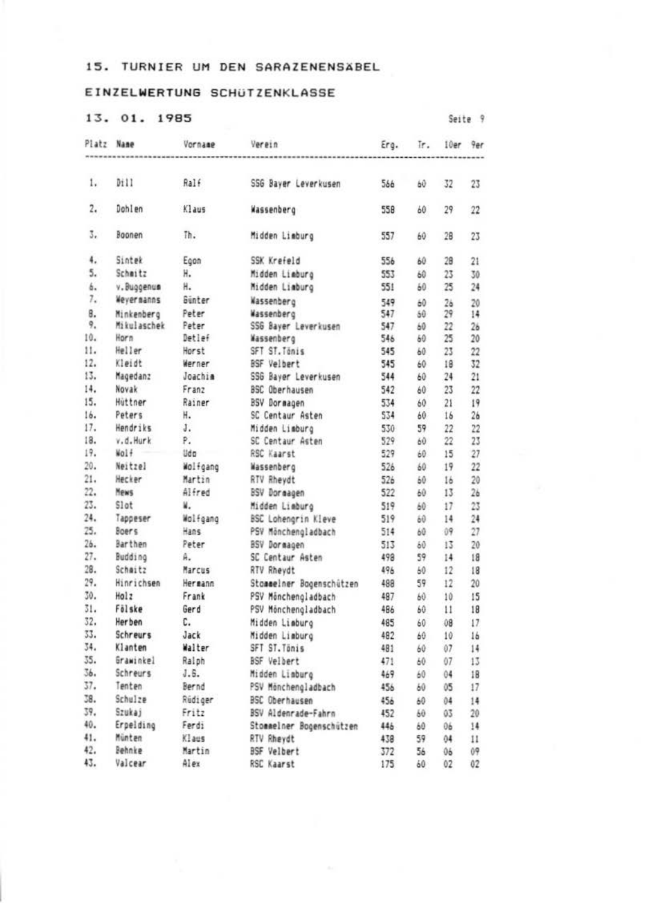# EINZELWERTUNG SCHUTZENKLASSE

#### 13, 01, 1985

|     | Platz Name<br>**************** | Vornage  | Verein                     |     |              | Erg. Tr. 10er 9er |                |
|-----|--------------------------------|----------|----------------------------|-----|--------------|-------------------|----------------|
| 1.  | 0:11                           | Ralf     |                            |     |              |                   |                |
|     |                                |          | SSG Bayer Leverkusen       | 566 | 60           | 32                | 23             |
| 2.  | <b>Doblen</b>                  | Klaus    | Wassenberg                 | 558 | 60           | 29                | 22             |
| 3.  | Boonen                         | Th.      | Midden Lieburg             | 557 | 60           | 28                | 23             |
| 4.  | Sintek                         | Econ     | SSK Krefeld                | 556 | 60           | 28                | 21             |
| 5.  | Schmitz                        | н.       | Midden Lieburo             | 553 | 60           | 23                | 30             |
| 6.  | v. Buggenus                    | H.       | Midden Liaburg             | 551 | 60           | 25                | 24             |
| 7.  | Wevernanns                     | Günter   | Wassenberg                 | 549 | $40-$        | 26                | 20             |
| R.  | Minkenberg                     | Pater    | Wassenberg                 | 547 | 60           | 29                | 14             |
| 9.  | Mikulaschek                    | Pater    | SSG Baver Leverkusen       | 547 | 60           | 22                | 26             |
| 10. | <b>Horn</b>                    | Detlef   | Wassenberg                 | 546 | 60           | 25                | 20             |
| 11. | Heller                         | Horst    | SFT ST. Ténis              | 545 | 60           | 23                | 22             |
| 12. | Kløidt                         | Warner   | RSF Velbert                | 545 | 40           | 18                | 32             |
| 13. | Magedanz                       | Joachim  | SSG Baver Leverkusen       | 544 | 60           | 24                | 21             |
| 14. | Novak                          | Franz    | BSC Oberhausen             | 542 | 60.          | 23                | 22             |
| 15. | Hittner                        | Rainer   | BSV Boreagen               | 534 | 60           | 21                | 19             |
| 16. | Paters                         | н.       | SC Centaur Asten           | 534 | 60           | 16                | 26             |
| 17. | Hendriks                       | s.       | Midden Limburg             | 530 | 59           | 22                | 22             |
| 18. | v.d.Hurk                       | Ρ.       | SC Centaur Asten           | 529 | 60           | 22                | 23             |
| 19. | Wolf                           | Udo -    | RSC Kaarst                 | 529 | 60           | 15                | 27             |
| 20. | Neitzel                        | Wolfgang | Wassenberg                 | 526 | 60           | 19                | 22             |
| 21. | Hecker                         | Martin   | RTV Rhevdt                 | 526 | 60.5         | 16                | 20             |
| 22. | Mews                           | Alfred   | BSV Doneagen               | 522 | $40-$        | 13                | 2 <sub>b</sub> |
| 23. | Slot                           | W.       | Midden Liaburg             | 519 | 60           | 17                | 23             |
| 24. | Tappeser                       | Wolfgang | <b>BSC Lohenorin Kleve</b> | 519 | $60 -$       | 14                | 24             |
| 25. | Boers                          | Hans     | PSV Mönchengladbach        | 514 | 60           | 09                | 27             |
| 26. | Barthen                        | Pater    | BSV Dormagen               | 513 | $60 - 60$    | 13                | 20             |
| 27. | Budding                        | A.       | SC Centaur Asten           | 498 | 59           | 14                | 18             |
| 28. | Schaitz                        | Marcus   | RTV Rhevdt                 | 496 | 60           | 12                | 18             |
| 29. | Hinrichsen                     | Hereann  | Stommeiner Bosenschützen   | 488 | 59           | 12                | 20             |
| 50. | Holz                           | Frank    | PSV Minchengladbach        | 487 | 60           | 10                | 15             |
| 31. | Fälske                         | Gerd     | PSV Monchengladbach        | 486 | 60           | $\mathbf{11}$     | 18             |
| 32. | Herben                         | c.       | Midden Liaburo             | 485 | 60           | 68                | 17             |
| 33. | <b>Schreurs</b>                | Jack     | Midden Lieburg             | 482 | 60.          | 10                | 16             |
| 34. | Klanten                        | Walter   | SFT ST. Tánis              | 481 | w            | 07                | 14             |
| 35. | Grawinkel                      | Raloh    | <b>BSF Velbert</b>         | 471 | 60           | 07                | 13             |
| 36. | Schreurs:                      | 1.6.     | Midden Linburg             | 469 | 60           | 04                | 18             |
| 37. | Tenten                         | Bernd    | PSV Minchengladbach        | 456 | 60           | 05                | 17             |
| 38. | Schulze                        | Rüdiger  | <b>BSC Oberhausen</b>      | 456 | 60           | 04.               | 14             |
| 39. | Szukaj                         | Fritz    | BSV Aldenrade-Fahrn        | 452 | 60.          | 03                | 20             |
| 40. | Erpelding                      | Fordi    | Stommelner Bogenschützen   | 446 | $\mathbf{A}$ | 06                | 14             |
| 41. | Minten                         | Klaus    | <b>RTV Rhevdt</b>          | 438 | 59           | 04.               | $\mathbf{H}$   |
| 42. | Behnke                         | Martin   | <b>BSF Velbert</b>         | 372 | 56           | 06                | (1)            |
| 43. | Valcear                        | Alex     | <b>RSC Kaarst</b>          | 175 | 60           | 02                | 02             |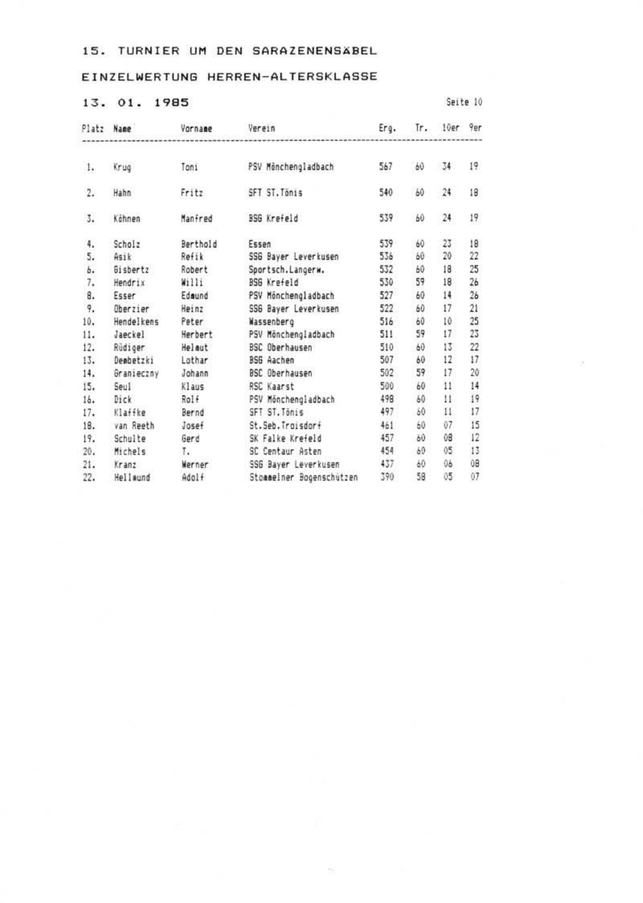# EINZELWERTUNG HERREN-ALTERSKLASSE

#### 13. 01. 1985

Smite 10

| Platz                   | Name             | Vornage  | Verein                   | Erg. | Tr. | 10er         | <b>9ar</b>      |
|-------------------------|------------------|----------|--------------------------|------|-----|--------------|-----------------|
| 1.                      | Krug             | Tosi     | PSV Mönchengladbach      | 567  | 60  | 34           | 19              |
| $\overline{\mathbf{r}}$ | Habn             | Fritz    | SFT ST. Tonis            | 540  | 60  | 24           | 18              |
| 3.                      | Kihnen           | Manired  | <b>196 Kreield</b>       | 539  | 60  | $^{24}$      | 19              |
| 4.                      | Scholz           | Barthold | Essen                    | 539  | 60  | 23           | 18              |
| s.                      | Asik             | Refik    | SSG Bayer Leverkusen     | 536  | 60  | 20           | $\overline{22}$ |
| ь.                      | <b>Gisbertz</b>  | Robert   | Sportsch.Langerw.        | 532  | 60  | 18           | 25              |
| $\overline{\imath}$ .   | Hendrix          | Willi    | <b>ISS Krofeld</b>       | 530  | 59  | 18           | 26              |
| 8.                      | Esser            | Edmund   | PSV Minchengladbach      | 527  | 60  | 14           | 26              |
| $\overline{q}$          | <b>Obseziar</b>  | Heinz    | 556 Baver Leverkusen     | 522  | 60  | 17           | 21              |
| 10.                     | Hendelkens       | Peter    | Wassenberg               | 516  | 60  | 10           | 25              |
| 11.                     | Japckel          | Herbert  | PSV Mönchengladbach      | 511  | 59  | 17           | 23              |
| 12.                     | Rüdiger          | Helest   | <b>BSC Oberhausen</b>    | 510  | 60  | 13           | 22              |
| 13.                     | <b>Oeabetzki</b> | Lothar   | BS6 Aachen               | 507  | 60  | 12           | 17              |
| 14.                     | Granieczny       | Johann   | <b>BSC Oberhausen</b>    | 502  | 59  | 17           | 20              |
| 15.                     | Seul             | Klaus    | RSC Kaarst               | 500  | 60  | $\mathbf{H}$ | 14              |
| 16.                     | Dick             | Rolf     | PSV Mönchengladbach      | 498  | W   | Ħ            | 19              |
| 17.                     | Klaffke          | Bernd    | SFT ST. Tónis            | 497  | M)  | n            | 17              |
| 18.                     | van Reeth        | 30566    | St. Seb. Troisdor+       | 461  | 60  | 07           | 15              |
| 19.                     | Schulte          | Gend     | SK Falke Krefeld         | 457  | 60  | te           | 12              |
| 20.                     | Michels          | т.       | SC Centaur Asten         | 454  | W3  | ö5           | 13              |
| 21.                     | Kranz            | Werner   | SSG Bayer Leverkusen     | 437  | 60  | 06           | 08              |
| 22.                     | Hellmund         | Adolf    | Stonmelner Booenschützen | 390  | 58  | ö5           | 07              |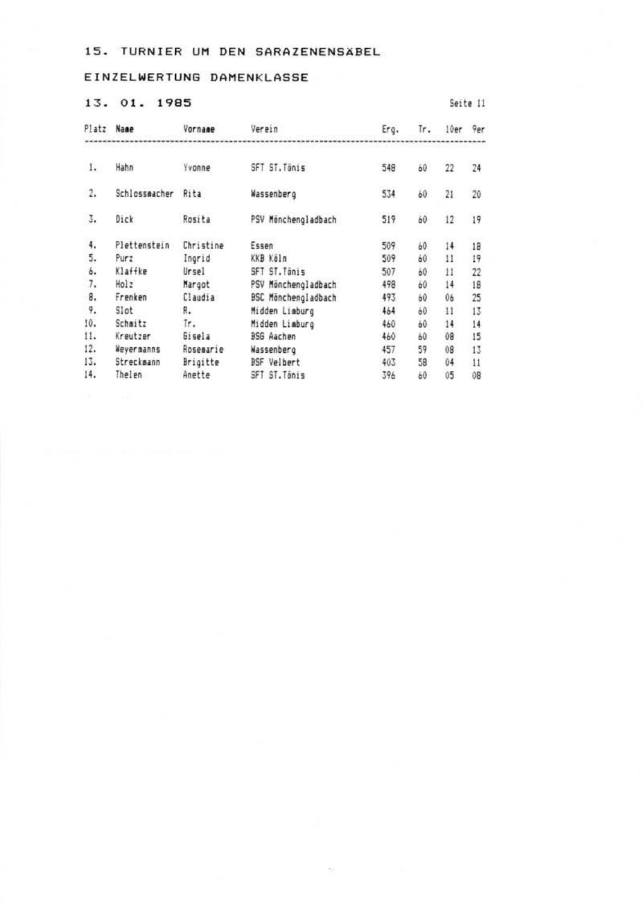### EINZELWERTUNG DAMENKLASSE

### 13. 01. 1985

| Platz | <b>Name</b>   | Vornage       | Verein               | Erg. | īr. | 10er          | 9pr             |
|-------|---------------|---------------|----------------------|------|-----|---------------|-----------------|
| 1.    | Hahn          | <b>Yvonne</b> | SFT ST. Tonis        | 548  | 60  | 22            | 24              |
| 2.    | Schlosseacher | Rita          | Wassenberg           | 534  | 60  | 21            | 20              |
| I.    | Dick          | Rosita        | PSV Mánchenol adbach | 519  | 60  | 12            | 19              |
| 4.    | Plettenstein  | Christine     | Essen                | 509  | 60  | 14            | 18              |
| 5.    | Purz          | Ingrid        | KKB Kálo             | 509  | 60  | $\mathbf{11}$ | 19              |
| b.    | Klaffke       | Ursel         | SFT ST. Tonis        | 507  | 60  | 11            | 22              |
| 7.    | Holz          | Margot        | PSV Mäncheneladbach  | 498  | 60  | 14            | 18              |
| 8.    | Frenken       | Claudia       | BSC Mönchengladbach  | 493  | 60  | 06            | 25              |
| 9.    | Slot          | 8.            | Midden Liaburg       | 464  | 60  | $\mathbf{1}$  | 13              |
| 10.   | Schmitz       | īr.           | Midden Limburo       | 460  | 60  | 14            | $\overline{14}$ |
| 11.   | Kreutzer      | Gisela        | <b>BSG Aaches</b>    | 440  | 60  | 08            | 15              |
| 12.   | Wevernanns    | Rosemarie     | Wassenberg           | 457  | 59  | (G)           | 13              |
| 13.   | Strecknann    | Brigitte      | <b>BSF</b> Velbert   | 403  | 58  | 04            | 11              |
| 14.   | Thelen        | Anatta        | SFT ST. Ténis        | 396  | 60  | 05            | 0B              |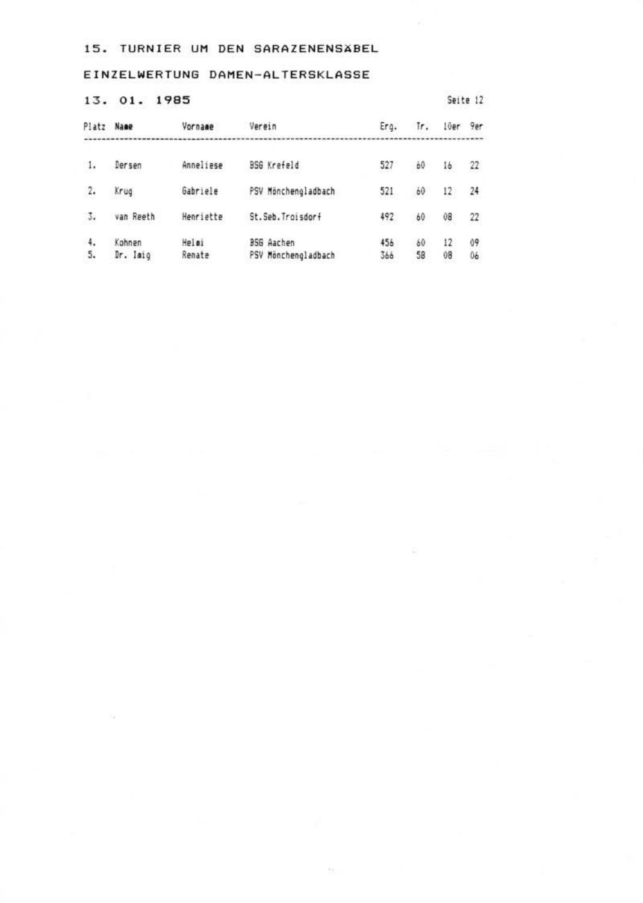EINZELWERTUNG DAMEN-ALTERSKLASSE

13. 01. 1985

| Platz Name |                    | Vornage         | Verein                                   | Erg.       | īr.      | 10ar     | 9ar                       |
|------------|--------------------|-----------------|------------------------------------------|------------|----------|----------|---------------------------|
| 1.         | Derson             | Anneliese       | BSG Krefpld                              | 527        | Ы        | 16       | $\overline{\mathfrak{L}}$ |
| 2.         | $Kr\omega$         | Gabriele        | PSV Mönchengladbach                      | 521        | Ы        | 12       | 24                        |
| 3.         | van Reeth          | Henriette       | St. Seb. Troisdorf                       | 492        | 60       | 08       | 22                        |
| 4.<br>5.   | Kohnen<br>Dr. Isio | Welei<br>Renate | <b>BSG</b> Aachen<br>PSV Monchenoladbach | 456<br>366 | 60<br>58 | 12<br>08 | $^{19}$<br>0ě             |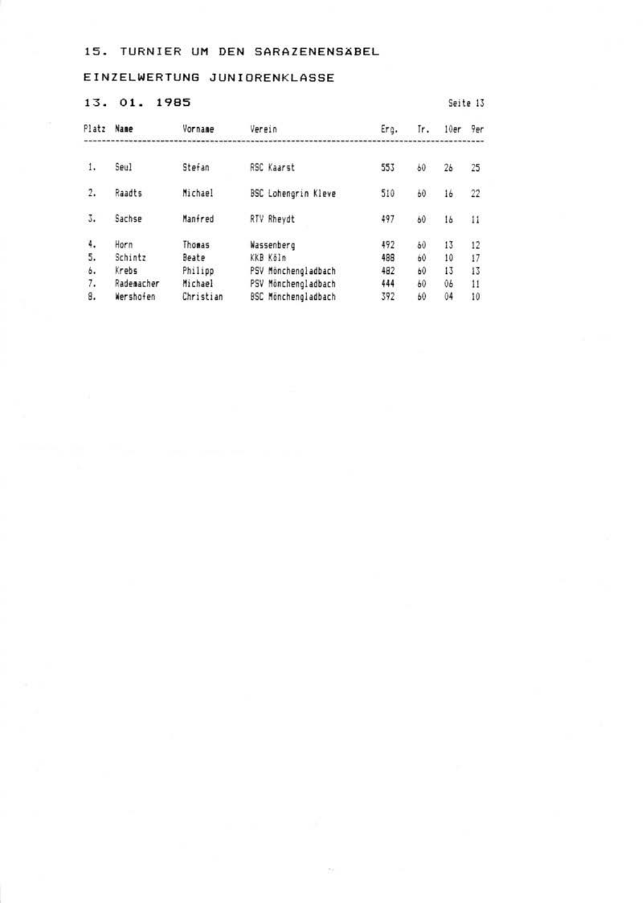# EINZELWERTUNG JUNIORENKLASSE

### 13. 01. 1985

| Platz Name     |            | Vornage        | Verein                     | Ero. | Tr. | 10ar           | <b>Ter</b>      |
|----------------|------------|----------------|----------------------------|------|-----|----------------|-----------------|
| ī.             | Seul       | Stefan         | <b>RSC Kaarst</b>          | 553  | 60  | 2 <sub>b</sub> | 25              |
| $\mathfrak{D}$ | Readts     | Michael        | <b>BSC Lohenorin Kleve</b> | 510  | 60  | 16             | 22              |
| 3.             | Sachse     | Manfred        | <b>RTV Rhavdt</b>          | 497  | 60  | 16             | $\mathbf{H}$    |
| 4,             | Horn       | Thomas         | Wassenberg                 | 492  | 60  | 13             | 12              |
| 5,             | Schintz    | Beate          | KKB Köln                   | 498  | 60  | 10             | 17              |
| s.             | Krobs      | Philipp        | PSV Minchengladbach        | 482  | 60  | 13             | 13              |
| 7.             | Rademacher | <b>Michael</b> | PSV Minchengladbach        | 444  | 40  | 06             | $\overline{11}$ |
| 8.             | Wershofen  | Christian      | <b>ESC Minchesoladbach</b> | 392  | 60  | 04             | 10              |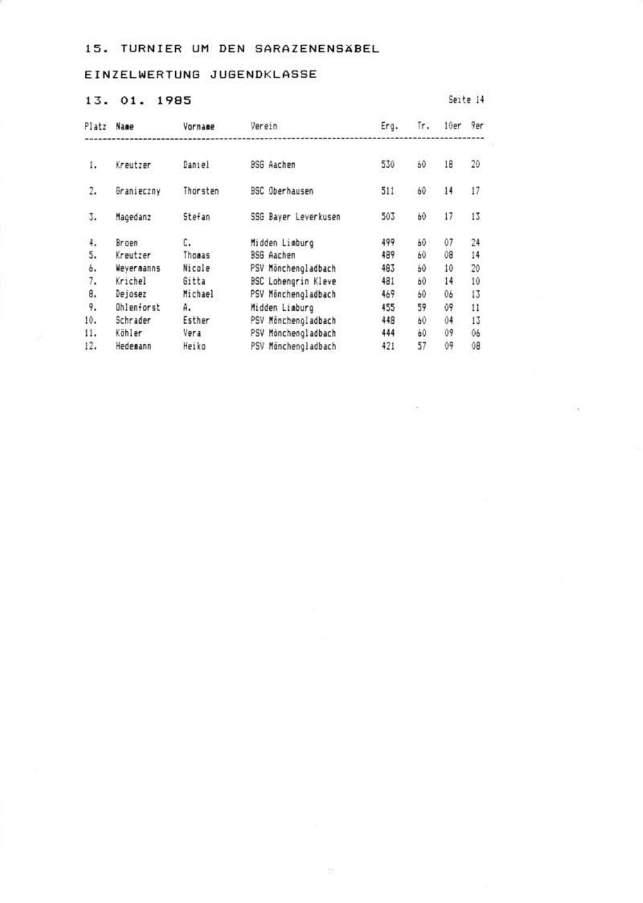### EINZELWERTUNG JUGENDKLASSE

# 13. 01. 1985

| Platz | Name       | Vornage      | Verein                | Erg. | īr. | 10er | 9er          |
|-------|------------|--------------|-----------------------|------|-----|------|--------------|
| 1.    | Kreutzer   | Baniel       | RSG Aachen            | 530  | 60  | 18   | 20           |
| 2.    | Granieczny | Thorsten     | <b>RSC Oberhauses</b> | 511  | 60  | 14   | 17           |
| 3.    | Magedanz   | Stefan       | SSG Baver Leverkusen  | 503  | 60  | 17   | 13           |
| 4.    | Broen      | c.           | Midden Lieburg        | 499  | 60  | 07   | 24           |
| 5.    | Kreutzer   | Thomas       | BSG Aachen            | 489  | 60  | 08   | 14           |
| ь.    | Veverganns | Nicole       | PSV Mönchengladbach   | 483  | 60  | 10   | $\infty$     |
| 7.    | Krichel    | <b>Sitta</b> | BSC Lohengrin Kleve   | 481  | 60  | 14   | 10           |
| 8.    | leiosez    | Michael      | PSV Mönchengladbach   | 469  | 60  | 06   | 13           |
| 9.    | Ohlenforst | Α.           | Midden Liaburg        | 455  | 59  | 09   | $\mathbf{H}$ |
| 10.   | Schrader   | Esther       | PSV Mönchengladbach   | 448  | 60  | 04   | 13           |
| 11.   | Köhler     | Vera         | PSV Monchengladbach   | 444  | 60  | 09   | 06           |
| 12.   | Hedesant   | Heiko        | PSV Monchengladbach   | 421  | 57  | 09   | (d)          |